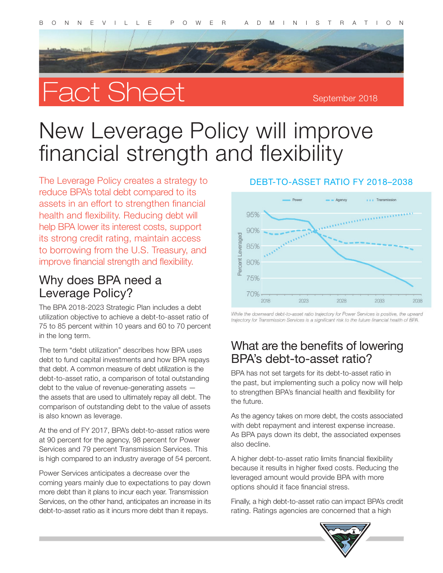# Fact Sheet

September 2018

# New Leverage Policy will improve financial strength and flexibility

The Leverage Policy creates a strategy to reduce BPA's total debt compared to its assets in an effort to strengthen financial health and flexibility. Reducing debt will help BPA lower its interest costs, support its strong credit rating, maintain access to borrowing from the U.S. Treasury, and improve financial strength and flexibility.

#### Why does BPA need a Leverage Policy?

The BPA 2018-2023 Strategic Plan includes a debt utilization objective to achieve a debt-to-asset ratio of 75 to 85 percent within 10 years and 60 to 70 percent in the long term.

The term "debt utilization" describes how BPA uses debt to fund capital investments and how BPA repays that debt. A common measure of debt utilization is the debt-to-asset ratio, a comparison of total outstanding debt to the value of revenue-generating assets the assets that are used to ultimately repay all debt. The comparison of outstanding debt to the value of assets is also known as leverage.

At the end of FY 2017, BPA's debt-to-asset ratios were at 90 percent for the agency, 98 percent for Power Services and 79 percent Transmission Services. This is high compared to an industry average of 54 percent.

Power Services anticipates a decrease over the coming years mainly due to expectations to pay down more debt than it plans to incur each year. Transmission Services, on the other hand, anticipates an increase in its debt-to-asset ratio as it incurs more debt than it repays.

#### DEBT-TO-ASSET RATIO FY 2018–2038



While the downward debt-to-asset ratio trajectory for Power Services is positive, the upward trajectory for Transmission Services is a significant risk to the future financial health of BPA.

#### What are the benefits of lowering BPA's debt-to-asset ratio?

BPA has not set targets for its debt-to-asset ratio in the past, but implementing such a policy now will help to strengthen BPA's financial health and flexibility for the future.

As the agency takes on more debt, the costs associated with debt repayment and interest expense increase. As BPA pays down its debt, the associated expenses also decline.

A higher debt-to-asset ratio limits financial flexibility because it results in higher fixed costs. Reducing the leveraged amount would provide BPA with more options should it face financial stress.

Finally, a high debt-to-asset ratio can impact BPA's credit rating. Ratings agencies are concerned that a high